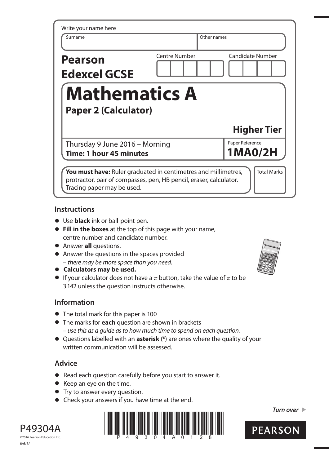| Write your name here                                      |                      |                                   |
|-----------------------------------------------------------|----------------------|-----------------------------------|
| Surname                                                   | Other names          |                                   |
| <b>Pearson</b>                                            | <b>Centre Number</b> | Candidate Number                  |
| <b>Edexcel GCSE</b>                                       |                      |                                   |
| <b>Mathematics A</b>                                      |                      |                                   |
| <b>Paper 2 (Calculator)</b>                               |                      |                                   |
|                                                           |                      | <b>Higher Tier</b>                |
| Thursday 9 June 2016 - Morning<br>Time: 1 hour 45 minutes |                      | Paper Reference<br><b>1MA0/2H</b> |

### **Instructions**

- **•** Use **black** ink or ball-point pen.
- **• Fill in the boxes** at the top of this page with your name, centre number and candidate number.
- **•** Answer **all** questions.
- **•** Answer the questions in the spaces provided – there may be more space than you need.
- **• Calculators may be used.**
- If your calculator does not have a  $\pi$  button, take the value of  $\pi$  to be 3.142 unless the question instructs otherwise.

### **Information**

- **•** The total mark for this paper is 100
- **•** The marks for **each** question are shown in brackets – use this as a guide as to how much time to spend on each question.
- **•** Questions labelled with an **asterisk** (**\***) are ones where the quality of your written communication will be assessed.

### **Advice**

- **•** Read each question carefully before you start to answer it.
- Read each question caref<br>• Keep an eye on the time.
- Keep an eye on the time.<br>• Try to answer every question.
- **•** Check your answers if you have time at the end.







P49304A ©2016 Pearson Education Ltd. 6/6/6/

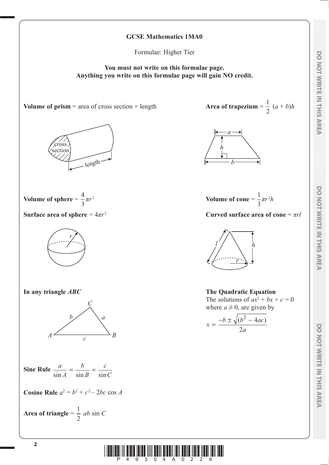## **DOMOTWRITEINIER REARER**

DO NOTWRITE IN THIS AREA

### **GCSE Mathematics 1MA0**

Formulae: Higher Tier

**You must not write on this formulae page. Anything you write on this formulae page will gain NO credit.**

**Volume of prism** = area of cross section  $\times$  length





Surface area of sphere =  $4\pi r^2$ 





**Sine Rule**  $\frac{a}{\sin A}$ *b B c*  $\frac{a}{\sin A} = \frac{b}{\sin B} = \frac{c}{\sin C}$ 



Area of triangle  $=$   $\frac{1}{2}$  *ab* sin *C* 

 $\frac{1}{2} (a + b)h$ 





**Surface area of sphere**  $= 4\pi r^2$  **Curved surface area of cone**  $= \pi rl$ 



**In any triangle** *ABC* **The Quadratic Equation**  $\Gamma$  The solutions of  $ax^2 + bx + c = 0$ where  $a \neq 0$ , are given by

$$
x = \frac{-b \pm \sqrt{(b^2 - 4ac)}}{2a}
$$

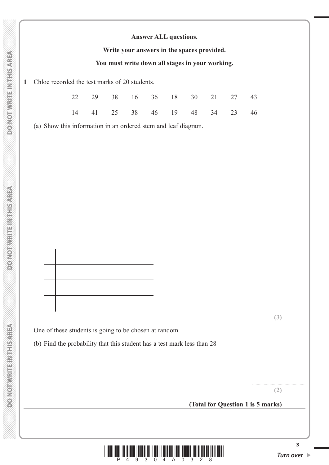# **DO NOT WRITE IN THIS AREA DO NOT WRITE IN THIS AREA DO NOT WRITE IN THIS AREA DO NOT WRITE IN THIS AREA DO NOT WRITE IN THIS AREA DO NOT WRITE IN THE INTEGRATION OF THE INTEGRATION OF THE INTEGRATION OF THE INTEGRAL CONT DOMORWIRE NEEDER**

### **Answer ALL questions.**

**Write your answers in the spaces provided.**

### **You must write down all stages in your working.**

**1** Chloe recorded the test marks of 20 students.

|  |  |  |  | 22 29 38 16 36 18 30 21 27 43 |  |
|--|--|--|--|-------------------------------|--|
|  |  |  |  | 14 41 25 38 46 19 48 34 23 46 |  |

(a) Show this information in an ordered stem and leaf diagram.

**(3)**

One of these students is going to be chosen at random.

(b) Find the probability that this student has a test mark less than 28

.............................................. **(2)**

**(Total for Question 1 is 5 marks)**



**3**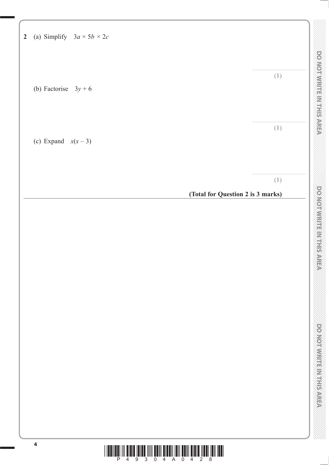

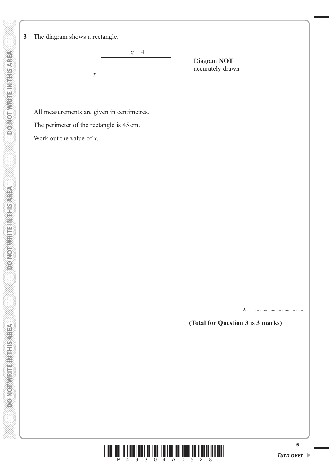**DOMORWIGHTMITHS AREA** 

**DO NOT WRITE INTHIS AREA** 



Diagram **NOT** accurately drawn

All measurements are given in centimetres.

The perimeter of the rectangle is 45 cm.

Work out the value of *x*.

*x* = .............................................

### **(Total for Question 3 is 3 marks)**

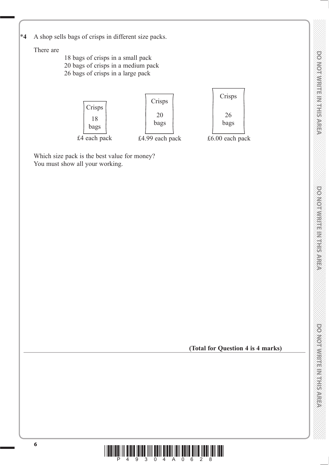

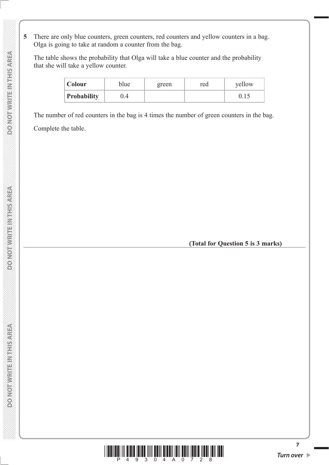**5** There are only blue counters, green counters, red counters and yellow counters in a bag. Olga is going to take at random a counter from the bag.

 The table shows the probability that Olga will take a blue counter and the probability that she will take a yellow counter.

| <b>Colour</b> | blue | green | red | yellow |
|---------------|------|-------|-----|--------|
| Probability   | J.4  |       |     |        |

 The number of red counters in the bag is 4 times the number of green counters in the bag. Complete the table.

**(Total for Question 5 is 3 marks)**



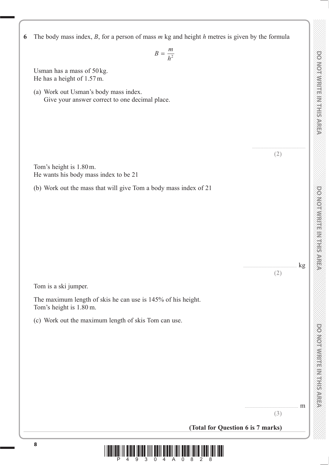| The body mass index, $B$ , for a person of mass $m$ kg and height $h$ metres is given by the formula |
|------------------------------------------------------------------------------------------------------|
| $B=\frac{m}{h^2}$                                                                                    |
| Usman has a mass of 50 kg.<br>He has a height of 1.57 m.                                             |
| (a) Work out Usman's body mass index.<br>Give your answer correct to one decimal place.              |
|                                                                                                      |
| (2)                                                                                                  |
| Tom's height is 1.80 m.<br>He wants his body mass index to be 21                                     |
| (b) Work out the mass that will give Tom a body mass index of 21                                     |
|                                                                                                      |
|                                                                                                      |
|                                                                                                      |
|                                                                                                      |
| kg<br>(2)                                                                                            |
| Tom is a ski jumper.                                                                                 |
| The maximum length of skis he can use is 145% of his height.<br>Tom's height is 1.80 m.              |
| (c) Work out the maximum length of skis Tom can use.                                                 |
|                                                                                                      |
|                                                                                                      |
|                                                                                                      |
|                                                                                                      |
|                                                                                                      |
| . m<br>(3)                                                                                           |
| (Total for Question 6 is 7 marks)                                                                    |
| 8                                                                                                    |
|                                                                                                      |

*DO NOT WRITE IN THIS AREA DO NOT WRITE IN THIS AREA DO NOT WRITE IN THIS AREA DO NOT WRITE IN THIS AREA DO NOT WRITE IN THIS AREA DO NOT WRITE IN THIS AREA DO NOT WRITE IN THIS AREA DO NOT WRITE IN THIS AREA DO NOT WRITE* 

**DONOTWRITEININGRAPH** 

DOMOTWRITE INTERNATION

DO NOT WRITE IN THIS AREA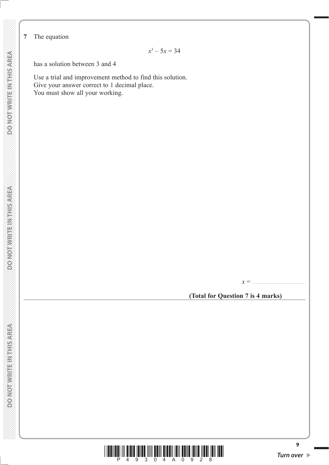**7** The equation

 $x^3 - 5x = 34$ 

has a solution between 3 and 4

 Use a trial and improvement method to find this solution. Give your answer correct to 1 decimal place. You must show all your working.

*x* = ..............................................

**(Total for Question 7 is 4 marks)**



**9**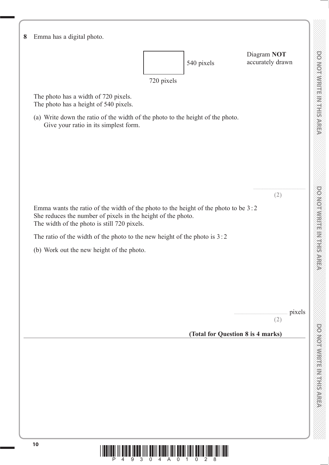| 8 | Emma has a digital photo.                                                                                                                                                                                                                                                                                                               |
|---|-----------------------------------------------------------------------------------------------------------------------------------------------------------------------------------------------------------------------------------------------------------------------------------------------------------------------------------------|
|   | Diagram NOT<br>accurately drawn<br>540 pixels                                                                                                                                                                                                                                                                                           |
|   | 720 pixels                                                                                                                                                                                                                                                                                                                              |
|   | The photo has a width of 720 pixels.<br>The photo has a height of 540 pixels.<br>(a) Write down the ratio of the width of the photo to the height of the photo.<br>Give your ratio in its simplest form.                                                                                                                                |
|   | (2)<br>Emma wants the ratio of the width of the photo to the height of the photo to be $3:2$<br>She reduces the number of pixels in the height of the photo.<br>The width of the photo is still 720 pixels.<br>The ratio of the width of the photo to the new height of the photo is $3:2$<br>(b) Work out the new height of the photo. |
|   | pixels<br>(2)                                                                                                                                                                                                                                                                                                                           |
|   | (Total for Question 8 is 4 marks)                                                                                                                                                                                                                                                                                                       |
|   |                                                                                                                                                                                                                                                                                                                                         |
|   | 10<br>$\Omega$                                                                                                                                                                                                                                                                                                                          |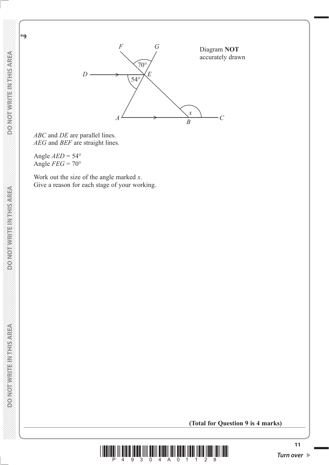**DO NOT WRITE IN THIS AREA** 

\***9**



*ABC* and *DE* are parallel lines.  *AEG* and *BEF* are straight lines*.*

Angle  $AED = 54^{\circ}$ Angle  $FEG = 70^{\circ}$ 

 Work out the size of the angle marked *x*. Give a reason for each stage of your working.

**(Total for Question 9 is 4 marks)**

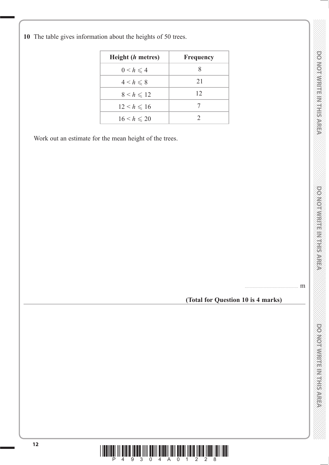**DOMOTWRITES METHODS** 

*DO NOT WRITE IN THIS AREA DO NOT WRITE IN THIS AREA DO NOT WRITE IN THIS AREA DO NOT WRITE IN THIS AREA DO NOT WRITE IN THIS AREA DO NOT WRITE IN THIS AREA DO NOT WRITE IN THIS AREA DO NOT WRITE IN THIS AREA DO NOT WRITE* DOMOTWRITE MITHIEMS

**10** The table gives information about the heights of 50 trees.

| Height ( <i>h</i> metres) | Frequency |
|---------------------------|-----------|
| $0 \leq h \leq 4$         | 8         |
| $4 \leq h \leq 8$         | 21        |
| $8 < h \leqslant 12$      | 12        |
| $12 < h \le 16$           | 7         |
| $16 < h \le 20$           |           |

Work out an estimate for the mean height of the trees.

**(Total for Question 10 is 4 marks)**

.............................................. m

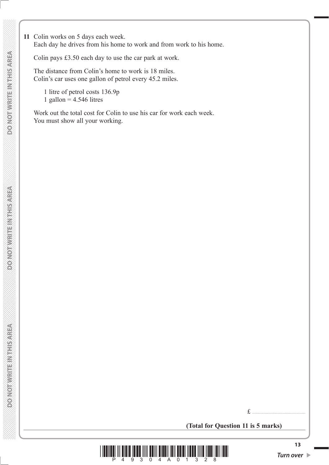**11** Colin works on 5 days each week. Each day he drives from his home to work and from work to his home.

Colin pays £3.50 each day to use the car park at work.

 The distance from Colin's home to work is 18 miles. Colin's car uses one gallon of petrol every 45.2 miles.

 1 litre of petrol costs 136.9p 1 gallon  $= 4.546$  litres

 Work out the total cost for Colin to use his car for work each week. You must show all your working.

**(Total for Question 11 is 5 marks)**

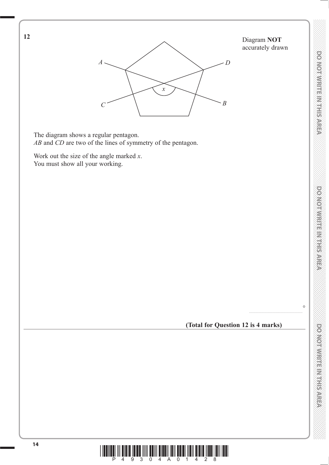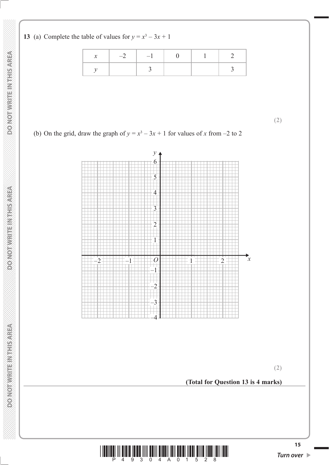**DONOT WRITE IN THIS AREA** 

**DO NOT WRITE INTHIS AREA** 

**13** (a) Complete the table of values for  $y = x^3 - 3x + 1$ 

| $-2$ | $-1$ |  |  |
|------|------|--|--|
|      |      |  |  |

**(2)**

(b) On the grid, draw the graph of  $y = x^3 - 3x + 1$  for values of *x* from -2 to 2



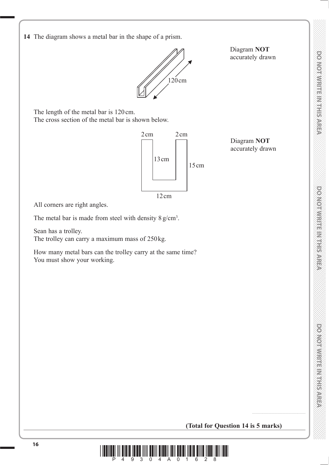*DO NOT WRITE IN THIS AREA DO NOT WRITE IN THIS AREA DO NOT WRITE IN THIS AREA DO NOT WRITE IN THIS AREA DO NOT WRITE IN THIS AREA DO NOT WRITE IN THIS AREA DO NOT WRITE IN THIS AREA DO NOT WRITE IN THIS AREA DO NOT WRITE* **DO NOTWRITEIN THE WEBA** 

DOMOTIVIRITE IN THIS AREA

**14** The diagram shows a metal bar in the shape of a prism.



Diagram **NOT** accurately drawn

The length of the metal bar is 120 cm. The cross section of the metal bar is shown below.



Diagram **NOT** accurately drawn

All corners are right angles.

The metal bar is made from steel with density  $8 \text{ g/cm}^3$ .

 Sean has a trolley. The trolley can carry a maximum mass of 250kg.

 How many metal bars can the trolley carry at the same time? You must show your working.

**(Total for Question 14 is 5 marks)**

..............................................

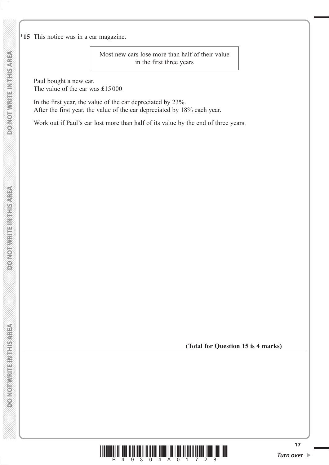**POINCRAIGHTENTHSAREA** 

\***15** This notice was in a car magazine.

Most new cars lose more than half of their value in the first three years

 Paul bought a new car. The value of the car was £15 000

 In the first year, the value of the car depreciated by 23%. After the first year, the value of the car depreciated by 18% each year.

Work out if Paul's car lost more than half of its value by the end of three years.

**(Total for Question 15 is 4 marks)**

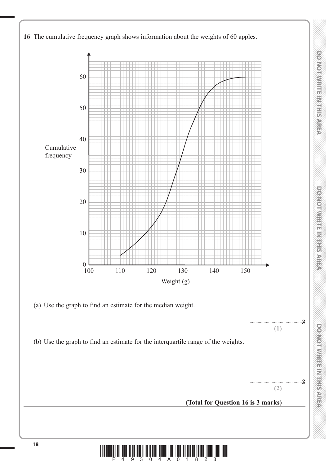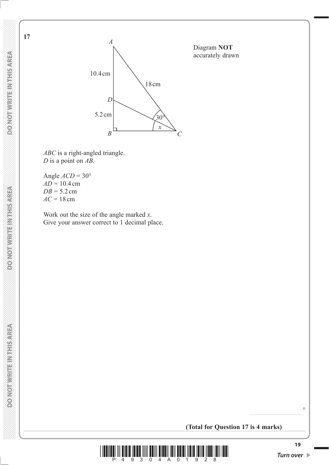**DO NOT WRITE IN THIS AREA** 

**17**



 *ABC* is a right-angled triangle.  *D* is a point on *AB.*

Angle  $ACD = 30^{\circ}$  $AD = 10.4$  cm  $DB = 5.2$  cm *AC* = 18 cm

 Work out the size of the angle marked *x*. Give your answer correct to 1 decimal place.

### **(Total for Question 17 is 4 marks)**



..............................................°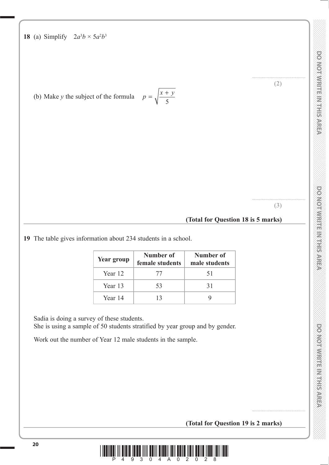**18** (a) Simplify  $2a^3b \times 5a^2b^3$ 

.............................................. **(2)**

**DONOTWITTENTHSAREA** 

**DOMOI WRITER REFERENCE** 

(b) Make *y* the subject of the formula 
$$
p = \sqrt{\frac{x + y}{5}}
$$

.............................................. **(3)**

..............................................

### **(Total for Question 18 is 5 marks)**

**19** The table gives information about 234 students in a school.

| Year group | Number of<br>female students | Number of<br>male students |
|------------|------------------------------|----------------------------|
| Year 12    | 77                           | 51                         |
| Year 13    | 53                           | 31                         |
| Year 14    | 13                           |                            |

Sadia is doing a survey of these students.

She is using a sample of 50 students stratified by year group and by gender.

Work out the number of Year 12 male students in the sample.

### **(Total for Question 19 is 2 marks)**

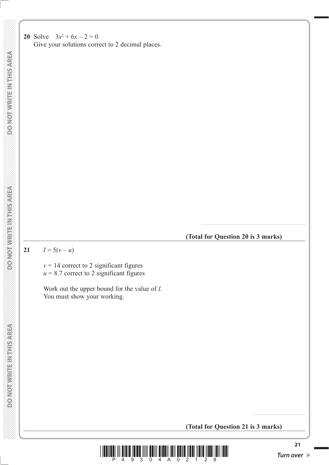**20** Solve  $3x^2 + 6x - 2 = 0$ 

Give your solutions correct to 2 decimal places.

**(Total for Question 20 is 3 marks)**

..........................................................................................

## **21**  $I = 5(v - u)$

 $v = 14$  correct to 2 significant figures  $u = 8.7$  correct to 2 significant figures

 Work out the upper bound for the value of *I*. You must show your working.

**(Total for Question 21 is 3 marks)**



..............................................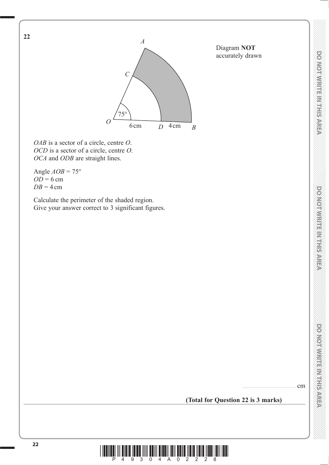**22** Diagram **NOT** accurately drawn *A* 75° 6cm  $D$  4cm  $B$ *C*  $O \t{6cm}$  *D* 4cm

*OAB* is a sector of a circle, centre *O*.  *OCD* is a sector of a circle, centre *O*. *OCA* and *ODB* are straight lines.

Angle  $AOB = 75^{\circ}$  $OD = 6$  cm  $DB = 4 \text{ cm}$ 

 Calculate the perimeter of the shaded region. Give your answer correct to 3 significant figures.

**(Total for Question 22 is 3 marks)**

cm.

**<sup>22</sup>** \*P49304A02228\*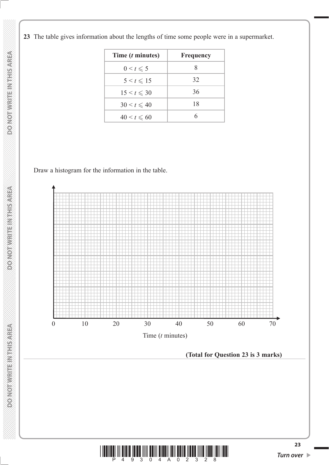**23** The table gives information about the lengths of time some people were in a supermarket.

| Time ( <i>t</i> minutes) | <b>Frequency</b> |
|--------------------------|------------------|
| $0 \leq t \leq 5$        |                  |
| $5 \leq t \leq 15$       | 32               |
| $15 < t \leq 30$         | 36               |
| $30 < t \leq 40$         | 18               |
| $40 < t \le 60$          |                  |

Draw a histogram for the information in the table.



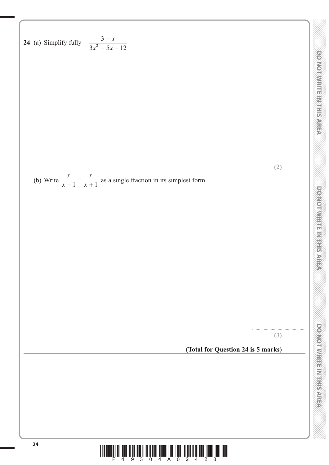24 (a) Simplify fully 
$$
\frac{3-x}{3x^2 - 5x - 12}
$$
  
\n(b) Write  $\frac{x}{x-1} - \frac{x}{x+1}$  as a single fraction in its simplest form.  
\n(2) (2)  
\n(Total for Question 24 is 5 marks)

DONOTWRITE MITHIS AREA

**(3)**

**(Total for Question 24 is 5 marks)**

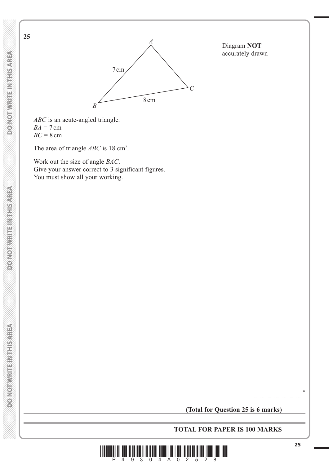**DO NOT WRITE INTHIS AREA** 

**25**

 **DO NOT WRITE IN THIS AREA DO NOT WRITE IN THIS AREA DO NOT WRITE IN THIS AREA DO NOT WRITE IN THIS AREA DO NOT WRITE IN THIS AREA DO NOT WRITE IN THE INTEGRATION OF THE INTEGRATION OF THE INTEGRATION OF THE INTEGRAL CONT DONOT WRITEIN THIS AREA** 

**DO NOT WRITE INTHIS AREA** 



Diagram **NOT** accurately drawn

*ABC* is an acute-angled triangle. *BA* = 7 cm *BC* = 8 cm

The area of triangle *ABC* is 18 cm<sup>2</sup>.

 Work out the size of angle *BAC*. Give your answer correct to 3 significant figures. You must show all your working.

**(Total for Question 25 is 6 marks)**

**TOTAL FOR PAPER IS 100 MARKS**



..............................................°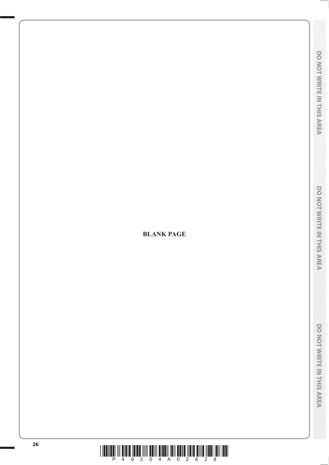

**BLANK PAGE**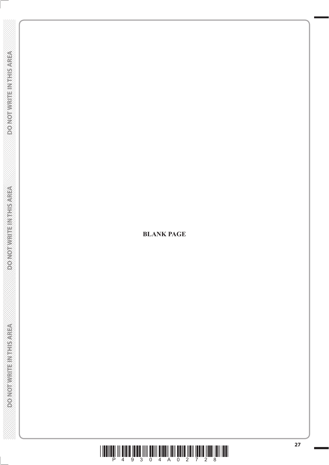**BLANK PAGE**